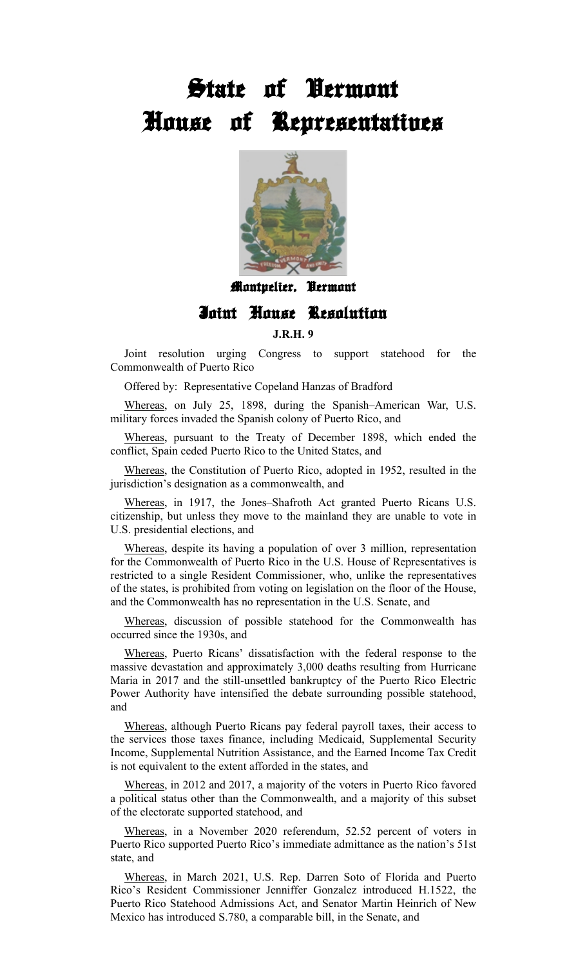## **State of Vermont House of Representatives**



**Montpelier, Vermont**

## **Joint House Resolution**

## **J.R.H. 9**

Joint resolution urging Congress to support statehood for the Commonwealth of Puerto Rico

Offered by: Representative Copeland Hanzas of Bradford

Whereas, on July 25, 1898, during the Spanish–American War, U.S. military forces invaded the Spanish colony of Puerto Rico, and

Whereas, pursuant to the Treaty of December 1898, which ended the conflict, Spain ceded Puerto Rico to the United States, and

Whereas, the Constitution of Puerto Rico, adopted in 1952, resulted in the jurisdiction's designation as a commonwealth, and

Whereas, in 1917, the Jones–Shafroth Act granted Puerto Ricans U.S. citizenship, but unless they move to the mainland they are unable to vote in U.S. presidential elections, and

Whereas, despite its having a population of over 3 million, representation for the Commonwealth of Puerto Rico in the U.S. House of Representatives is restricted to a single Resident Commissioner, who, unlike the representatives of the states, is prohibited from voting on legislation on the floor of the House, and the Commonwealth has no representation in the U.S. Senate, and

Whereas, discussion of possible statehood for the Commonwealth has occurred since the 1930s, and

Whereas, Puerto Ricans' dissatisfaction with the federal response to the massive devastation and approximately 3,000 deaths resulting from Hurricane Maria in 2017 and the still-unsettled bankruptcy of the Puerto Rico Electric Power Authority have intensified the debate surrounding possible statehood, and

Whereas, although Puerto Ricans pay federal payroll taxes, their access to the services those taxes finance, including Medicaid, Supplemental Security Income, Supplemental Nutrition Assistance, and the Earned Income Tax Credit is not equivalent to the extent afforded in the states, and

Whereas, in 2012 and 2017, a majority of the voters in Puerto Rico favored a political status other than the Commonwealth, and a majority of this subset of the electorate supported statehood, and

Whereas, in a November 2020 referendum, 52.52 percent of voters in Puerto Rico supported Puerto Rico's immediate admittance as the nation's 51st state, and

Whereas, in March 2021, U.S. Rep. Darren Soto of Florida and Puerto Rico's Resident Commissioner Jenniffer Gonzalez introduced H.1522, the Puerto Rico Statehood Admissions Act, and Senator Martin Heinrich of New Mexico has introduced S.780, a comparable bill, in the Senate, and